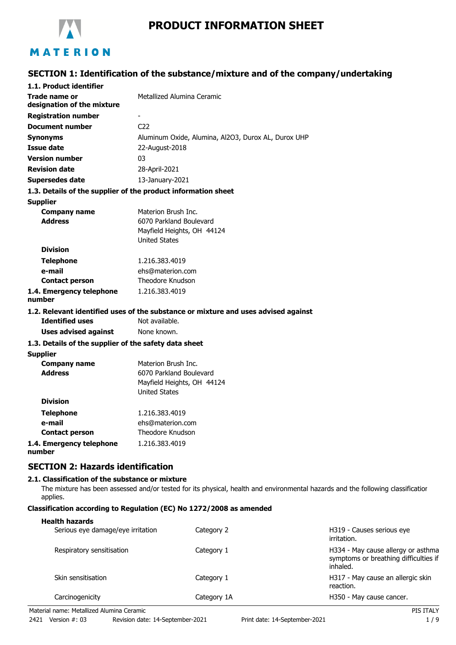

# **PRODUCT INFORMATION SHEET**

# **SECTION 1: Identification of the substance/mixture and of the company/undertaking**

| 1.1. Product identifier                               |                                                                                    |
|-------------------------------------------------------|------------------------------------------------------------------------------------|
| Trade name or<br>designation of the mixture           | Metallized Alumina Ceramic                                                         |
| <b>Registration number</b>                            |                                                                                    |
| <b>Document number</b>                                | C <sub>22</sub>                                                                    |
| <b>Synonyms</b>                                       | Aluminum Oxide, Alumina, Al2O3, Durox AL, Durox UHP                                |
| <b>Issue date</b>                                     | 22-August-2018                                                                     |
| <b>Version number</b>                                 | 03                                                                                 |
| <b>Revision date</b>                                  | 28-April-2021                                                                      |
| <b>Supersedes date</b>                                | 13-January-2021                                                                    |
|                                                       | 1.3. Details of the supplier of the product information sheet                      |
| <b>Supplier</b>                                       |                                                                                    |
| <b>Company name</b>                                   | Materion Brush Inc.                                                                |
| <b>Address</b>                                        | 6070 Parkland Boulevard                                                            |
|                                                       | Mayfield Heights, OH 44124                                                         |
|                                                       | <b>United States</b>                                                               |
| <b>Division</b>                                       |                                                                                    |
| <b>Telephone</b>                                      | 1.216.383.4019                                                                     |
| e-mail                                                | ehs@materion.com                                                                   |
| <b>Contact person</b>                                 | Theodore Knudson                                                                   |
| 1.4. Emergency telephone<br>number                    | 1.216.383.4019                                                                     |
|                                                       | 1.2. Relevant identified uses of the substance or mixture and uses advised against |
| <b>Identified uses</b>                                | Not available.                                                                     |
| <b>Uses advised against</b>                           | None known.                                                                        |
| 1.3. Details of the supplier of the safety data sheet |                                                                                    |
| <b>Supplier</b>                                       |                                                                                    |
| <b>Company name</b>                                   | Materion Brush Inc.                                                                |
| <b>Address</b>                                        | 6070 Parkland Boulevard                                                            |
|                                                       | Mayfield Heights, OH 44124                                                         |
| <b>Division</b>                                       | <b>United States</b>                                                               |
|                                                       |                                                                                    |
| <b>Telephone</b>                                      | 1.216.383.4019                                                                     |
| e-mail                                                | ehs@materion.com                                                                   |
| <b>Contact person</b>                                 | Theodore Knudson                                                                   |
| 1.4. Emergency telephone                              | 1.216.383.4019                                                                     |

**1.4. Emergency telephone number**

# **SECTION 2: Hazards identification**

### **2.1. Classification of the substance or mixture**

The mixture has been assessed and/or tested for its physical, health and environmental hazards and the following classification applies.

### **Classification according to Regulation (EC) No 1272/2008 as amended**

#### **Health hazards**

| Serious eye damage/eye irritation | Category 2  | H319 - Causes serious eye<br>irritation.                                                |
|-----------------------------------|-------------|-----------------------------------------------------------------------------------------|
| Respiratory sensitisation         | Category 1  | H334 - May cause allergy or asthma<br>symptoms or breathing difficulties if<br>inhaled. |
| Skin sensitisation                | Category 1  | H317 - May cause an allergic skin<br>reaction.                                          |
| Carcinogenicity                   | Category 1A | H350 - May cause cancer.                                                                |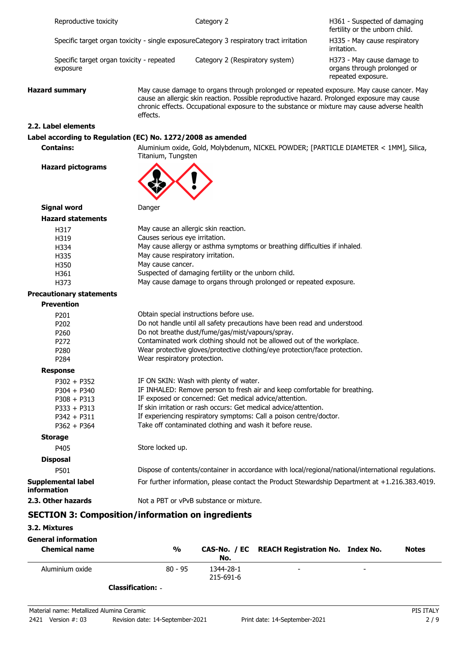|             | Reproductive toxicity                                                                              |                                                                                          | Category 2                                                                                                                                                                                                                                                                                                                                                                           | H361 - Suspected of damaging<br>fertility or the unborn child.                  |  |
|-------------|----------------------------------------------------------------------------------------------------|------------------------------------------------------------------------------------------|--------------------------------------------------------------------------------------------------------------------------------------------------------------------------------------------------------------------------------------------------------------------------------------------------------------------------------------------------------------------------------------|---------------------------------------------------------------------------------|--|
|             | Specific target organ toxicity - single exposureCategory 3 respiratory tract irritation            |                                                                                          |                                                                                                                                                                                                                                                                                                                                                                                      | H335 - May cause respiratory<br>irritation.                                     |  |
|             | Specific target organ toxicity - repeated<br>exposure                                              |                                                                                          | Category 2 (Respiratory system)                                                                                                                                                                                                                                                                                                                                                      | H373 - May cause damage to<br>organs through prolonged or<br>repeated exposure. |  |
|             | <b>Hazard summary</b><br>effects.                                                                  |                                                                                          | May cause damage to organs through prolonged or repeated exposure. May cause cancer. May<br>cause an allergic skin reaction. Possible reproductive hazard. Prolonged exposure may cause<br>chronic effects. Occupational exposure to the substance or mixture may cause adverse health                                                                                               |                                                                                 |  |
|             | 2.2. Label elements                                                                                |                                                                                          |                                                                                                                                                                                                                                                                                                                                                                                      |                                                                                 |  |
|             | Label according to Regulation (EC) No. 1272/2008 as amended                                        |                                                                                          |                                                                                                                                                                                                                                                                                                                                                                                      |                                                                                 |  |
|             | <b>Contains:</b>                                                                                   | Titanium, Tungsten                                                                       | Aluminium oxide, Gold, Molybdenum, NICKEL POWDER; [PARTICLE DIAMETER < 1MM], Silica,                                                                                                                                                                                                                                                                                                 |                                                                                 |  |
|             | <b>Hazard pictograms</b>                                                                           |                                                                                          |                                                                                                                                                                                                                                                                                                                                                                                      |                                                                                 |  |
|             | <b>Signal word</b>                                                                                 | Danger                                                                                   |                                                                                                                                                                                                                                                                                                                                                                                      |                                                                                 |  |
|             | <b>Hazard statements</b>                                                                           |                                                                                          |                                                                                                                                                                                                                                                                                                                                                                                      |                                                                                 |  |
|             | H317<br>H319<br>H334<br>H335<br>H350<br>H361<br>H373                                               | Causes serious eye irritation.<br>May cause respiratory irritation.<br>May cause cancer. | May cause an allergic skin reaction.<br>May cause allergy or asthma symptoms or breathing difficulties if inhaled.<br>Suspected of damaging fertility or the unborn child.<br>May cause damage to organs through prolonged or repeated exposure.                                                                                                                                     |                                                                                 |  |
|             | <b>Precautionary statements</b>                                                                    |                                                                                          |                                                                                                                                                                                                                                                                                                                                                                                      |                                                                                 |  |
|             | <b>Prevention</b>                                                                                  |                                                                                          |                                                                                                                                                                                                                                                                                                                                                                                      |                                                                                 |  |
|             | P201<br>P202<br>P260<br>P272<br>P280<br>P284                                                       | Wear respiratory protection.                                                             | Obtain special instructions before use.<br>Do not handle until all safety precautions have been read and understood.<br>Do not breathe dust/fume/gas/mist/vapours/spray.<br>Contaminated work clothing should not be allowed out of the workplace.<br>Wear protective gloves/protective clothing/eye protection/face protection.                                                     |                                                                                 |  |
|             | <b>Response</b>                                                                                    |                                                                                          |                                                                                                                                                                                                                                                                                                                                                                                      |                                                                                 |  |
|             | $P302 + P352$<br>$P304 + P340$<br>$P308 + P313$<br>$P333 + P313$<br>$P342 + P311$<br>$P362 + P364$ |                                                                                          | IF ON SKIN: Wash with plenty of water.<br>IF INHALED: Remove person to fresh air and keep comfortable for breathing.<br>IF exposed or concerned: Get medical advice/attention.<br>If skin irritation or rash occurs: Get medical advice/attention.<br>If experiencing respiratory symptoms: Call a poison centre/doctor.<br>Take off contaminated clothing and wash it before reuse. |                                                                                 |  |
|             | <b>Storage</b>                                                                                     |                                                                                          |                                                                                                                                                                                                                                                                                                                                                                                      |                                                                                 |  |
|             | P405                                                                                               | Store locked up.                                                                         |                                                                                                                                                                                                                                                                                                                                                                                      |                                                                                 |  |
|             | <b>Disposal</b>                                                                                    |                                                                                          |                                                                                                                                                                                                                                                                                                                                                                                      |                                                                                 |  |
|             | P501                                                                                               |                                                                                          | Dispose of contents/container in accordance with local/regional/national/international regulations.                                                                                                                                                                                                                                                                                  |                                                                                 |  |
| information | <b>Supplemental label</b>                                                                          |                                                                                          | For further information, please contact the Product Stewardship Department at +1.216.383.4019.                                                                                                                                                                                                                                                                                       |                                                                                 |  |
|             | 2.3. Other hazards                                                                                 | Not a PBT or vPvB substance or mixture.                                                  |                                                                                                                                                                                                                                                                                                                                                                                      |                                                                                 |  |
|             | <b>SECTION 3: Composition/information on ingredients</b>                                           |                                                                                          |                                                                                                                                                                                                                                                                                                                                                                                      |                                                                                 |  |

### **3.2. Mixtures**

| <b>General information</b><br><b>Chemical name</b> | $\frac{0}{0}$ | No.                    | CAS-No. / EC REACH Registration No. Index No. |   | <b>Notes</b> |
|----------------------------------------------------|---------------|------------------------|-----------------------------------------------|---|--------------|
| Aluminium oxide                                    | $80 - 95$     | 1344-28-1<br>215-691-6 | $\overline{\phantom{0}}$                      | - |              |

**Classification:** -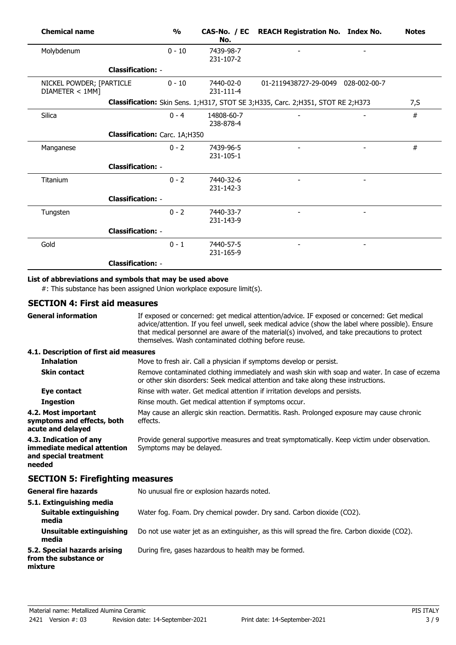| <b>Chemical name</b>                        |                               | $\frac{1}{2}$ | No.                     | CAS-No. / EC REACH Registration No. Index No.                                       | <b>Notes</b> |
|---------------------------------------------|-------------------------------|---------------|-------------------------|-------------------------------------------------------------------------------------|--------------|
| Molybdenum                                  |                               | $0 - 10$      | 7439-98-7<br>231-107-2  |                                                                                     |              |
|                                             | <b>Classification: -</b>      |               |                         |                                                                                     |              |
| NICKEL POWDER; [PARTICLE<br>DIAMETER < 1MM] |                               | $0 - 10$      | 7440-02-0<br>231-111-4  | 01-2119438727-29-0049 028-002-00-7                                                  |              |
|                                             |                               |               |                         | Classification: Skin Sens. 1; H317, STOT SE 3; H335, Carc. 2; H351, STOT RE 2; H373 | 7, S         |
| Silica                                      |                               | $0 - 4$       | 14808-60-7<br>238-878-4 |                                                                                     | #            |
|                                             | Classification: Carc. 1A;H350 |               |                         |                                                                                     |              |
| Manganese                                   |                               | $0 - 2$       | 7439-96-5<br>231-105-1  |                                                                                     | #            |
|                                             | <b>Classification: -</b>      |               |                         |                                                                                     |              |
| Titanium                                    |                               | $0 - 2$       | 7440-32-6<br>231-142-3  |                                                                                     |              |
|                                             | <b>Classification: -</b>      |               |                         |                                                                                     |              |
| Tungsten                                    |                               | $0 - 2$       | 7440-33-7<br>231-143-9  |                                                                                     |              |
|                                             | <b>Classification: -</b>      |               |                         |                                                                                     |              |
| Gold                                        |                               | $0 - 1$       | 7440-57-5<br>231-165-9  |                                                                                     |              |
|                                             | <b>Classification: -</b>      |               |                         |                                                                                     |              |

# **List of abbreviations and symbols that may be used above**

#: This substance has been assigned Union workplace exposure limit(s).

### **SECTION 4: First aid measures**

| <b>General information</b>                                                               | If exposed or concerned: get medical attention/advice. IF exposed or concerned: Get medical<br>advice/attention. If you feel unwell, seek medical advice (show the label where possible). Ensure<br>that medical personnel are aware of the material(s) involved, and take precautions to protect<br>themselves. Wash contaminated clothing before reuse. |
|------------------------------------------------------------------------------------------|-----------------------------------------------------------------------------------------------------------------------------------------------------------------------------------------------------------------------------------------------------------------------------------------------------------------------------------------------------------|
| 4.1. Description of first aid measures                                                   |                                                                                                                                                                                                                                                                                                                                                           |
| <b>Inhalation</b>                                                                        | Move to fresh air. Call a physician if symptoms develop or persist.                                                                                                                                                                                                                                                                                       |
| <b>Skin contact</b>                                                                      | Remove contaminated clothing immediately and wash skin with soap and water. In case of eczema<br>or other skin disorders: Seek medical attention and take along these instructions.                                                                                                                                                                       |
| Eye contact                                                                              | Rinse with water. Get medical attention if irritation develops and persists.                                                                                                                                                                                                                                                                              |
| <b>Ingestion</b>                                                                         | Rinse mouth. Get medical attention if symptoms occur.                                                                                                                                                                                                                                                                                                     |
| 4.2. Most important<br>symptoms and effects, both<br>acute and delayed                   | May cause an allergic skin reaction. Dermatitis. Rash. Prolonged exposure may cause chronic<br>effects.                                                                                                                                                                                                                                                   |
| 4.3. Indication of any<br>immediate medical attention<br>and special treatment<br>needed | Provide general supportive measures and treat symptomatically. Keep victim under observation.<br>Symptoms may be delayed.                                                                                                                                                                                                                                 |
| <b>SECTION 5: Firefighting measures</b>                                                  |                                                                                                                                                                                                                                                                                                                                                           |
| <b>General fire hazards</b>                                                              | No unusual fire or explosion hazards noted.                                                                                                                                                                                                                                                                                                               |
| 5.1. Extinguishing media<br><b>Suitable extinguishing</b><br>media                       | Water fog. Foam. Dry chemical powder. Dry sand. Carbon dioxide (CO2).                                                                                                                                                                                                                                                                                     |
| Unsuitable extinguishing<br>media                                                        | Do not use water jet as an extinguisher, as this will spread the fire. Carbon dioxide (CO2).                                                                                                                                                                                                                                                              |
| 5.2. Special hazards arising<br>from the substance or<br>mixture                         | During fire, gases hazardous to health may be formed.                                                                                                                                                                                                                                                                                                     |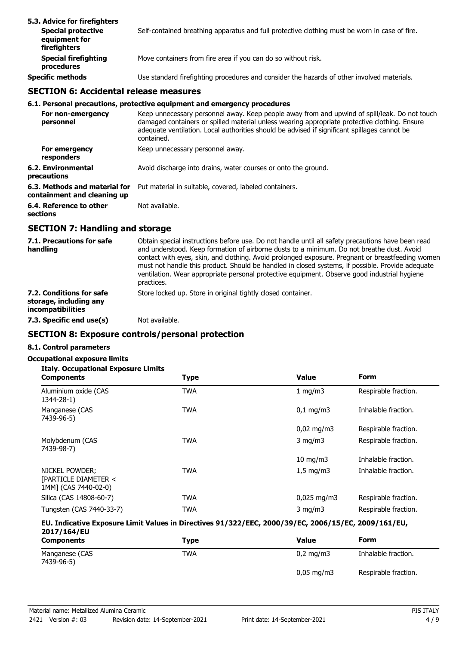| 5.3. Advice for firefighters<br><b>Special protective</b><br>equipment for<br>firefighters | Self-contained breathing apparatus and full protective clothing must be worn in case of fire. |
|--------------------------------------------------------------------------------------------|-----------------------------------------------------------------------------------------------|
| <b>Special firefighting</b><br>procedures                                                  | Move containers from fire area if you can do so without risk.                                 |
| <b>Specific methods</b>                                                                    | Use standard firefighting procedures and consider the hazards of other involved materials.    |

# **SECTION 6: Accidental release measures**

#### **6.1. Personal precautions, protective equipment and emergency procedures**

| For non-emergency<br>personnel                               | Keep unnecessary personnel away. Keep people away from and upwind of spill/leak. Do not touch<br>damaged containers or spilled material unless wearing appropriate protective clothing. Ensure<br>adequate ventilation. Local authorities should be advised if significant spillages cannot be<br>contained. |
|--------------------------------------------------------------|--------------------------------------------------------------------------------------------------------------------------------------------------------------------------------------------------------------------------------------------------------------------------------------------------------------|
| For emergency<br>responders                                  | Keep unnecessary personnel away.                                                                                                                                                                                                                                                                             |
| 6.2. Environmental<br>precautions                            | Avoid discharge into drains, water courses or onto the ground.                                                                                                                                                                                                                                               |
| 6.3. Methods and material for<br>containment and cleaning up | Put material in suitable, covered, labeled containers.                                                                                                                                                                                                                                                       |
| 6.4. Reference to other<br>sections                          | Not available.                                                                                                                                                                                                                                                                                               |

## **SECTION 7: Handling and storage**

| 7.1. Precautions for safe<br>handling                                          | Obtain special instructions before use. Do not handle until all safety precautions have been read<br>and understood. Keep formation of airborne dusts to a minimum. Do not breathe dust. Avoid<br>contact with eyes, skin, and clothing. Avoid prolonged exposure. Pregnant or breastfeeding women<br>must not handle this product. Should be handled in closed systems, if possible. Provide adequate<br>ventilation. Wear appropriate personal protective equipment. Observe good industrial hygiene<br>practices. |
|--------------------------------------------------------------------------------|----------------------------------------------------------------------------------------------------------------------------------------------------------------------------------------------------------------------------------------------------------------------------------------------------------------------------------------------------------------------------------------------------------------------------------------------------------------------------------------------------------------------|
| 7.2. Conditions for safe<br>storage, including any<br><i>incompatibilities</i> | Store locked up. Store in original tightly closed container.                                                                                                                                                                                                                                                                                                                                                                                                                                                         |
| 7.3. Specific end use(s)                                                       | Not available.                                                                                                                                                                                                                                                                                                                                                                                                                                                                                                       |

# **SECTION 8: Exposure controls/personal protection**

# **8.1. Control parameters**

### **Occupational exposure limits**

|  | <b>Italy. Occupational Exposure Limits</b> |  |  |
|--|--------------------------------------------|--|--|
|--|--------------------------------------------|--|--|

| <b>Components</b>                                              | <b>Type</b> | <b>Value</b>           | <b>Form</b>          |
|----------------------------------------------------------------|-------------|------------------------|----------------------|
| Aluminium oxide (CAS<br>1344-28-1)                             | <b>TWA</b>  | 1 mg/m3                | Respirable fraction. |
| Manganese (CAS<br>7439-96-5)                                   | <b>TWA</b>  | $0.1 \,\mathrm{mq/m}$  | Inhalable fraction.  |
|                                                                |             | $0,02 \text{ mg/m}$    | Respirable fraction. |
| Molybdenum (CAS<br>7439-98-7)                                  | <b>TWA</b>  | $3 \text{ mg/m}$       | Respirable fraction. |
|                                                                |             | $10 \text{ mg/m}$      | Inhalable fraction.  |
| NICKEL POWDER;<br>[PARTICLE DIAMETER <<br>1MM] (CAS 7440-02-0) | <b>TWA</b>  | $1,5$ mg/m $3$         | Inhalable fraction.  |
| Silica (CAS 14808-60-7)                                        | <b>TWA</b>  | $0,025 \text{ mg/m}$ 3 | Respirable fraction. |
| Tungsten (CAS 7440-33-7)                                       | <b>TWA</b>  | $3$ mg/m $3$           | Respirable fraction. |

### **EU. Indicative Exposure Limit Values in Directives 91/322/EEC, 2000/39/EC, 2006/15/EC, 2009/161/EU, 2017/164/EU**

| <b>Components</b>            | Type | <b>Value</b>          | Form                 |
|------------------------------|------|-----------------------|----------------------|
| Manganese (CAS<br>7439-96-5) | TWA  | $0.2 \text{ mg/m}$ 3  | Inhalable fraction.  |
|                              |      | $0,05 \text{ mg/m}$ 3 | Respirable fraction. |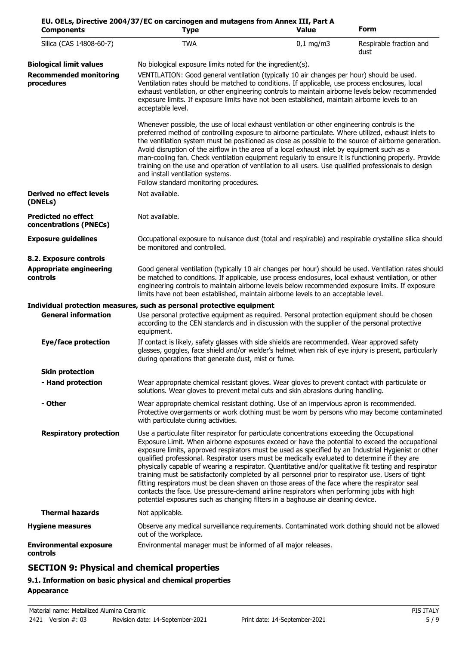| <b>Components</b>                                    | EU. OELs, Directive 2004/37/EC on carcinogen and mutagens from Annex III, Part A<br><b>Type</b>                                                                                                                                                                                                                                                                                                                                                                                                                                                                                                                                                                                                                                                                                                                                                                                                           | <b>Value</b> | Form                            |
|------------------------------------------------------|-----------------------------------------------------------------------------------------------------------------------------------------------------------------------------------------------------------------------------------------------------------------------------------------------------------------------------------------------------------------------------------------------------------------------------------------------------------------------------------------------------------------------------------------------------------------------------------------------------------------------------------------------------------------------------------------------------------------------------------------------------------------------------------------------------------------------------------------------------------------------------------------------------------|--------------|---------------------------------|
| Silica (CAS 14808-60-7)                              | <b>TWA</b>                                                                                                                                                                                                                                                                                                                                                                                                                                                                                                                                                                                                                                                                                                                                                                                                                                                                                                | $0,1$ mg/m3  | Respirable fraction and<br>dust |
| <b>Biological limit values</b>                       | No biological exposure limits noted for the ingredient(s).                                                                                                                                                                                                                                                                                                                                                                                                                                                                                                                                                                                                                                                                                                                                                                                                                                                |              |                                 |
| <b>Recommended monitoring</b><br>procedures          | VENTILATION: Good general ventilation (typically 10 air changes per hour) should be used.<br>Ventilation rates should be matched to conditions. If applicable, use process enclosures, local<br>exhaust ventilation, or other engineering controls to maintain airborne levels below recommended<br>exposure limits. If exposure limits have not been established, maintain airborne levels to an<br>acceptable level.                                                                                                                                                                                                                                                                                                                                                                                                                                                                                    |              |                                 |
|                                                      | Whenever possible, the use of local exhaust ventilation or other engineering controls is the<br>preferred method of controlling exposure to airborne particulate. Where utilized, exhaust inlets to<br>the ventilation system must be positioned as close as possible to the source of airborne generation.<br>Avoid disruption of the airflow in the area of a local exhaust inlet by equipment such as a<br>man-cooling fan. Check ventilation equipment regularly to ensure it is functioning properly. Provide<br>training on the use and operation of ventilation to all users. Use qualified professionals to design<br>and install ventilation systems.<br>Follow standard monitoring procedures.                                                                                                                                                                                                  |              |                                 |
| <b>Derived no effect levels</b><br>(DNELs)           | Not available.                                                                                                                                                                                                                                                                                                                                                                                                                                                                                                                                                                                                                                                                                                                                                                                                                                                                                            |              |                                 |
| <b>Predicted no effect</b><br>concentrations (PNECs) | Not available.                                                                                                                                                                                                                                                                                                                                                                                                                                                                                                                                                                                                                                                                                                                                                                                                                                                                                            |              |                                 |
| <b>Exposure guidelines</b>                           | Occupational exposure to nuisance dust (total and respirable) and respirable crystalline silica should<br>be monitored and controlled.                                                                                                                                                                                                                                                                                                                                                                                                                                                                                                                                                                                                                                                                                                                                                                    |              |                                 |
| 8.2. Exposure controls                               |                                                                                                                                                                                                                                                                                                                                                                                                                                                                                                                                                                                                                                                                                                                                                                                                                                                                                                           |              |                                 |
| <b>Appropriate engineering</b><br>controls           | Good general ventilation (typically 10 air changes per hour) should be used. Ventilation rates should<br>be matched to conditions. If applicable, use process enclosures, local exhaust ventilation, or other<br>engineering controls to maintain airborne levels below recommended exposure limits. If exposure<br>limits have not been established, maintain airborne levels to an acceptable level.                                                                                                                                                                                                                                                                                                                                                                                                                                                                                                    |              |                                 |
|                                                      | Individual protection measures, such as personal protective equipment                                                                                                                                                                                                                                                                                                                                                                                                                                                                                                                                                                                                                                                                                                                                                                                                                                     |              |                                 |
| <b>General information</b>                           | Use personal protective equipment as required. Personal protection equipment should be chosen<br>according to the CEN standards and in discussion with the supplier of the personal protective<br>equipment.                                                                                                                                                                                                                                                                                                                                                                                                                                                                                                                                                                                                                                                                                              |              |                                 |
| <b>Eye/face protection</b>                           | If contact is likely, safety glasses with side shields are recommended. Wear approved safety<br>glasses, goggles, face shield and/or welder's helmet when risk of eye injury is present, particularly<br>during operations that generate dust, mist or fume.                                                                                                                                                                                                                                                                                                                                                                                                                                                                                                                                                                                                                                              |              |                                 |
| <b>Skin protection</b>                               |                                                                                                                                                                                                                                                                                                                                                                                                                                                                                                                                                                                                                                                                                                                                                                                                                                                                                                           |              |                                 |
| - Hand protection                                    | Wear appropriate chemical resistant gloves. Wear gloves to prevent contact with particulate or<br>solutions. Wear gloves to prevent metal cuts and skin abrasions during handling.                                                                                                                                                                                                                                                                                                                                                                                                                                                                                                                                                                                                                                                                                                                        |              |                                 |
| - Other                                              | Wear appropriate chemical resistant clothing. Use of an impervious apron is recommended.<br>Protective overgarments or work clothing must be worn by persons who may become contaminated<br>with particulate during activities.                                                                                                                                                                                                                                                                                                                                                                                                                                                                                                                                                                                                                                                                           |              |                                 |
| <b>Respiratory protection</b>                        | Use a particulate filter respirator for particulate concentrations exceeding the Occupational<br>Exposure Limit. When airborne exposures exceed or have the potential to exceed the occupational<br>exposure limits, approved respirators must be used as specified by an Industrial Hygienist or other<br>qualified professional. Respirator users must be medically evaluated to determine if they are<br>physically capable of wearing a respirator. Quantitative and/or qualitative fit testing and respirator<br>training must be satisfactorily completed by all personnel prior to respirator use. Users of tight<br>fitting respirators must be clean shaven on those areas of the face where the respirator seal<br>contacts the face. Use pressure-demand airline respirators when performing jobs with high<br>potential exposures such as changing filters in a baghouse air cleaning device. |              |                                 |
| <b>Thermal hazards</b>                               | Not applicable.                                                                                                                                                                                                                                                                                                                                                                                                                                                                                                                                                                                                                                                                                                                                                                                                                                                                                           |              |                                 |
| <b>Hygiene measures</b>                              | Observe any medical surveillance requirements. Contaminated work clothing should not be allowed<br>out of the workplace.                                                                                                                                                                                                                                                                                                                                                                                                                                                                                                                                                                                                                                                                                                                                                                                  |              |                                 |
| <b>Environmental exposure</b><br>controls            | Environmental manager must be informed of all major releases.                                                                                                                                                                                                                                                                                                                                                                                                                                                                                                                                                                                                                                                                                                                                                                                                                                             |              |                                 |

# **SECTION 9: Physical and chemical properties**

# **9.1. Information on basic physical and chemical properties Appearance**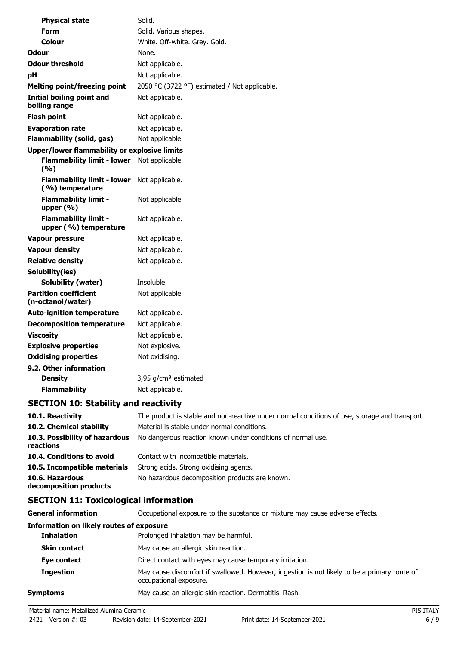| <b>Physical state</b>                                | Solid.                                        |
|------------------------------------------------------|-----------------------------------------------|
| <b>Form</b>                                          | Solid. Various shapes.                        |
| Colour                                               | White. Off-white. Grey. Gold.                 |
| <b>Odour</b>                                         | None.                                         |
| <b>Odour threshold</b>                               | Not applicable.                               |
| рH                                                   | Not applicable.                               |
| <b>Melting point/freezing point</b>                  | 2050 °C (3722 °F) estimated / Not applicable. |
| <b>Initial boiling point and</b><br>boiling range    | Not applicable.                               |
| <b>Flash point</b>                                   | Not applicable.                               |
| <b>Evaporation rate</b>                              | Not applicable.                               |
| <b>Flammability (solid, gas)</b>                     | Not applicable.                               |
| Upper/lower flammability or explosive limits         |                                               |
| <b>Flammability limit - lower</b><br>(%)             | Not applicable.                               |
| <b>Flammability limit - lower</b><br>(%) temperature | Not applicable.                               |
| <b>Flammability limit -</b><br>upper $(% )$          | Not applicable.                               |
| <b>Flammability limit -</b><br>upper (%) temperature | Not applicable.                               |
| <b>Vapour pressure</b>                               | Not applicable.                               |
| <b>Vapour density</b>                                | Not applicable.                               |
| <b>Relative density</b>                              | Not applicable.                               |
| Solubility(ies)                                      |                                               |
| Solubility (water)                                   | Insoluble.                                    |
| <b>Partition coefficient</b><br>(n-octanol/water)    | Not applicable.                               |
| <b>Auto-ignition temperature</b>                     | Not applicable.                               |
| <b>Decomposition temperature</b>                     | Not applicable.                               |
| <b>Viscosity</b>                                     | Not applicable.                               |
| <b>Explosive properties</b>                          | Not explosive.                                |
| <b>Oxidising properties</b>                          | Not oxidising.                                |
| 9.2. Other information                               |                                               |
| <b>Density</b>                                       | 3,95 $g/cm3$ estimated                        |
| <b>Flammability</b>                                  | Not applicable.                               |

# **SECTION 10: Stability and reactivity**

| 10.1. Reactivity                            | The product is stable and non-reactive under normal conditions of use, storage and transport |
|---------------------------------------------|----------------------------------------------------------------------------------------------|
| 10.2. Chemical stability                    | Material is stable under normal conditions.                                                  |
| 10.3. Possibility of hazardous<br>reactions | No dangerous reaction known under conditions of normal use.                                  |
| 10.4. Conditions to avoid                   | Contact with incompatible materials.                                                         |
| 10.5. Incompatible materials                | Strong acids. Strong oxidising agents.                                                       |
| 10.6. Hazardous<br>decomposition products   | No hazardous decomposition products are known.                                               |

# **SECTION 11: Toxicological information**

| General information                      | Occupational exposure to the substance or mixture may cause adverse effects.                                           |
|------------------------------------------|------------------------------------------------------------------------------------------------------------------------|
| Information on likely routes of exposure |                                                                                                                        |
| <b>Inhalation</b>                        | Prolonged inhalation may be harmful.                                                                                   |
| <b>Skin contact</b>                      | May cause an allergic skin reaction.                                                                                   |
| Eye contact                              | Direct contact with eyes may cause temporary irritation.                                                               |
| <b>Ingestion</b>                         | May cause discomfort if swallowed. However, ingestion is not likely to be a primary route of<br>occupational exposure. |
| Symptoms                                 | May cause an allergic skin reaction. Dermatitis. Rash.                                                                 |
|                                          |                                                                                                                        |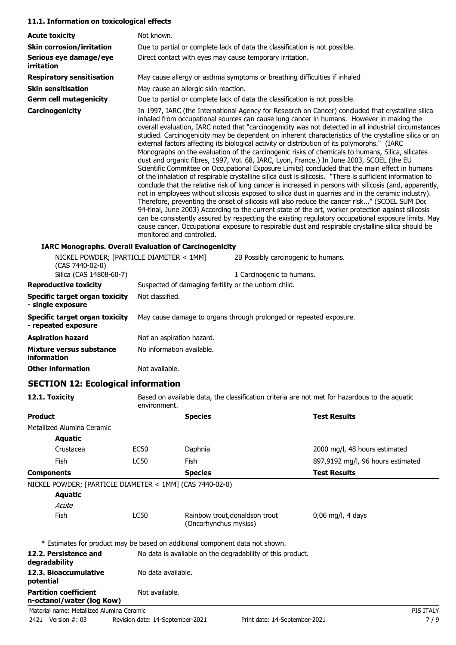#### **11.1. Information on toxicological effects**

| <b>Acute toxicity</b>                                                                  | Not known.                                                                                                                                                                                                                                                                                                                                                                                                                                                                                                                                                                                                                                                                                                                                                                                                                                                                                                                                                                                                                                                                                                                                                                                                                                                                                                                                                                                                                                                                                                                                                                                         |                                                                             |
|----------------------------------------------------------------------------------------|----------------------------------------------------------------------------------------------------------------------------------------------------------------------------------------------------------------------------------------------------------------------------------------------------------------------------------------------------------------------------------------------------------------------------------------------------------------------------------------------------------------------------------------------------------------------------------------------------------------------------------------------------------------------------------------------------------------------------------------------------------------------------------------------------------------------------------------------------------------------------------------------------------------------------------------------------------------------------------------------------------------------------------------------------------------------------------------------------------------------------------------------------------------------------------------------------------------------------------------------------------------------------------------------------------------------------------------------------------------------------------------------------------------------------------------------------------------------------------------------------------------------------------------------------------------------------------------------------|-----------------------------------------------------------------------------|
| <b>Skin corrosion/irritation</b>                                                       |                                                                                                                                                                                                                                                                                                                                                                                                                                                                                                                                                                                                                                                                                                                                                                                                                                                                                                                                                                                                                                                                                                                                                                                                                                                                                                                                                                                                                                                                                                                                                                                                    | Due to partial or complete lack of data the classification is not possible. |
| Serious eye damage/eye<br>irritation                                                   | Direct contact with eyes may cause temporary irritation.                                                                                                                                                                                                                                                                                                                                                                                                                                                                                                                                                                                                                                                                                                                                                                                                                                                                                                                                                                                                                                                                                                                                                                                                                                                                                                                                                                                                                                                                                                                                           |                                                                             |
| <b>Respiratory sensitisation</b>                                                       |                                                                                                                                                                                                                                                                                                                                                                                                                                                                                                                                                                                                                                                                                                                                                                                                                                                                                                                                                                                                                                                                                                                                                                                                                                                                                                                                                                                                                                                                                                                                                                                                    | May cause allergy or asthma symptoms or breathing difficulties if inhaled.  |
| <b>Skin sensitisation</b>                                                              | May cause an allergic skin reaction.                                                                                                                                                                                                                                                                                                                                                                                                                                                                                                                                                                                                                                                                                                                                                                                                                                                                                                                                                                                                                                                                                                                                                                                                                                                                                                                                                                                                                                                                                                                                                               |                                                                             |
| <b>Germ cell mutagenicity</b>                                                          |                                                                                                                                                                                                                                                                                                                                                                                                                                                                                                                                                                                                                                                                                                                                                                                                                                                                                                                                                                                                                                                                                                                                                                                                                                                                                                                                                                                                                                                                                                                                                                                                    | Due to partial or complete lack of data the classification is not possible. |
| Carcinogenicity                                                                        | In 1997, IARC (the International Agency for Research on Cancer) concluded that crystalline silica<br>inhaled from occupational sources can cause lung cancer in humans. However in making the<br>overall evaluation, IARC noted that "carcinogenicity was not detected in all industrial circumstances<br>studied. Carcinogenicity may be dependent on inherent characteristics of the crystalline silica or on<br>external factors affecting its biological activity or distribution of its polymorphs." (IARC<br>Monographs on the evaluation of the carcinogenic risks of chemicals to humans, Silica, silicates<br>dust and organic fibres, 1997, Vol. 68, IARC, Lyon, France.) In June 2003, SCOEL (the EU<br>Scientific Committee on Occupational Exposure Limits) concluded that the main effect in humans<br>of the inhalation of respirable crystalline silica dust is silicosis. "There is sufficient information to<br>conclude that the relative risk of lung cancer is increased in persons with silicosis (and, apparently,<br>not in employees without silicosis exposed to silica dust in quarries and in the ceramic industry).<br>Therefore, preventing the onset of silicosis will also reduce the cancer risk" (SCOEL SUM Doc<br>94-final, June 2003) According to the current state of the art, worker protection against silicosis<br>can be consistently assured by respecting the existing regulatory occupational exposure limits. May<br>cause cancer. Occupational exposure to respirable dust and respirable crystalline silica should be<br>monitored and controlled. |                                                                             |
|                                                                                        | <b>IARC Monographs. Overall Evaluation of Carcinogenicity</b>                                                                                                                                                                                                                                                                                                                                                                                                                                                                                                                                                                                                                                                                                                                                                                                                                                                                                                                                                                                                                                                                                                                                                                                                                                                                                                                                                                                                                                                                                                                                      |                                                                             |
| NICKEL POWDER; [PARTICLE DIAMETER < 1MM]<br>(CAS 7440-02-0)<br>Silica (CAS 14808-60-7) |                                                                                                                                                                                                                                                                                                                                                                                                                                                                                                                                                                                                                                                                                                                                                                                                                                                                                                                                                                                                                                                                                                                                                                                                                                                                                                                                                                                                                                                                                                                                                                                                    | 2B Possibly carcinogenic to humans.<br>1 Carcinogenic to humans.            |
| <b>Reproductive toxicity</b>                                                           | Suspected of damaging fertility or the unborn child.                                                                                                                                                                                                                                                                                                                                                                                                                                                                                                                                                                                                                                                                                                                                                                                                                                                                                                                                                                                                                                                                                                                                                                                                                                                                                                                                                                                                                                                                                                                                               |                                                                             |
| Specific target organ toxicity<br>- single exposure                                    | Not classified.                                                                                                                                                                                                                                                                                                                                                                                                                                                                                                                                                                                                                                                                                                                                                                                                                                                                                                                                                                                                                                                                                                                                                                                                                                                                                                                                                                                                                                                                                                                                                                                    |                                                                             |
| <b>Specific target organ toxicity</b><br>- repeated exposure                           |                                                                                                                                                                                                                                                                                                                                                                                                                                                                                                                                                                                                                                                                                                                                                                                                                                                                                                                                                                                                                                                                                                                                                                                                                                                                                                                                                                                                                                                                                                                                                                                                    | May cause damage to organs through prolonged or repeated exposure.          |

| <b>Aspiration hazard</b>                | Not an aspiration hazard. |
|-----------------------------------------|---------------------------|
| Mixture versus substance<br>information | No information available. |
| <b>Other information</b>                | Not available.            |

# **SECTION 12: Ecological information**

**12.1. Toxicity** Based on available data, the classification criteria are not met for hazardous to the aquatic environment.

| <b>Product</b>                                            |                | <b>Species</b>                                                               | <b>Test Results</b>               |
|-----------------------------------------------------------|----------------|------------------------------------------------------------------------------|-----------------------------------|
| Metallized Alumina Ceramic                                |                |                                                                              |                                   |
| Aquatic                                                   |                |                                                                              |                                   |
| Crustacea                                                 | EC50           | Daphnia                                                                      | 2000 mg/l, 48 hours estimated     |
| <b>Fish</b>                                               | <b>LC50</b>    | Fish                                                                         | 897,9192 mg/l, 96 hours estimated |
| <b>Components</b>                                         |                | <b>Species</b>                                                               | <b>Test Results</b>               |
| NICKEL POWDER; [PARTICLE DIAMETER < 1MM] (CAS 7440-02-0)  |                |                                                                              |                                   |
| <b>Aquatic</b>                                            |                |                                                                              |                                   |
| Acute                                                     |                |                                                                              |                                   |
| <b>Fish</b>                                               | <b>LC50</b>    | Rainbow trout, donaldson trout<br>(Oncorhynchus mykiss)                      | $0.06$ mg/l, 4 days               |
|                                                           |                | * Estimates for product may be based on additional component data not shown. |                                   |
| 12.2. Persistence and<br>degradability                    |                | No data is available on the degradability of this product.                   |                                   |
| 12.3. Bioaccumulative<br>potential                        |                | No data available.                                                           |                                   |
| <b>Partition coefficient</b><br>n-octanol/water (log Kow) | Not available. |                                                                              |                                   |
| Material name: Metallized Alumina Ceramic                 |                |                                                                              | PIS ITALY                         |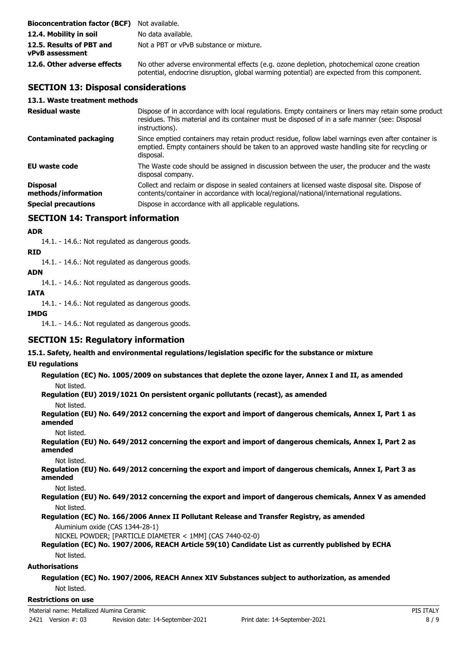| <b>Bioconcentration factor (BCF)</b> Not available. |                                                                                                                                                                                            |
|-----------------------------------------------------|--------------------------------------------------------------------------------------------------------------------------------------------------------------------------------------------|
| 12.4. Mobility in soil                              | No data available.                                                                                                                                                                         |
| 12.5. Results of PBT and<br>vPvB assessment         | Not a PBT or vPvB substance or mixture.                                                                                                                                                    |
| 12.6. Other adverse effects                         | No other adverse environmental effects (e.g. ozone depletion, photochemical ozone creation<br>potential, endocrine disruption, global warming potential) are expected from this component. |

# **SECTION 13: Disposal considerations**

### **13.1. Waste treatment methods**

| <b>Residual waste</b>                  | Dispose of in accordance with local regulations. Empty containers or liners may retain some product<br>residues. This material and its container must be disposed of in a safe manner (see: Disposal<br>instructions). |
|----------------------------------------|------------------------------------------------------------------------------------------------------------------------------------------------------------------------------------------------------------------------|
| <b>Contaminated packaging</b>          | Since emptied containers may retain product residue, follow label warnings even after container is<br>emptied. Empty containers should be taken to an approved waste handling site for recycling or<br>disposal.       |
| <b>EU</b> waste code                   | The Waste code should be assigned in discussion between the user, the producer and the waste<br>disposal company.                                                                                                      |
| <b>Disposal</b><br>methods/information | Collect and reclaim or dispose in sealed containers at licensed waste disposal site. Dispose of<br>contents/container in accordance with local/regional/national/international regulations.                            |
| <b>Special precautions</b>             | Dispose in accordance with all applicable regulations.                                                                                                                                                                 |

# **SECTION 14: Transport information**

#### **ADR**

14.1. - 14.6.: Not regulated as dangerous goods.

**RID**

14.1. - 14.6.: Not regulated as dangerous goods.

### **ADN**

14.1. - 14.6.: Not regulated as dangerous goods.

## **IATA**

14.1. - 14.6.: Not regulated as dangerous goods.

### **IMDG**

14.1. - 14.6.: Not regulated as dangerous goods.

# **SECTION 15: Regulatory information**

**15.1. Safety, health and environmental regulations/legislation specific for the substance or mixture**

### **EU regulations**

**Regulation (EC) No. 1005/2009 on substances that deplete the ozone layer, Annex I and II, as amended** Not listed.

**Regulation (EU) 2019/1021 On persistent organic pollutants (recast), as amended**

Not listed.

**Regulation (EU) No. 649/2012 concerning the export and import of dangerous chemicals, Annex I, Part 1 as amended**

Not listed.

**Regulation (EU) No. 649/2012 concerning the export and import of dangerous chemicals, Annex I, Part 2 as amended**

Not listed.

**Regulation (EU) No. 649/2012 concerning the export and import of dangerous chemicals, Annex I, Part 3 as amended**

Not listed.

**Regulation (EU) No. 649/2012 concerning the export and import of dangerous chemicals, Annex V as amended** Not listed.

**Regulation (EC) No. 166/2006 Annex II Pollutant Release and Transfer Registry, as amended**

Aluminium oxide (CAS 1344-28-1)

NICKEL POWDER; [PARTICLE DIAMETER < 1MM] (CAS 7440-02-0)

### **Regulation (EC) No. 1907/2006, REACH Article 59(10) Candidate List as currently published by ECHA** Not listed.

### **Authorisations**

**Regulation (EC) No. 1907/2006, REACH Annex XIV Substances subject to authorization, as amended** Not listed.

#### **Restrictions on use**